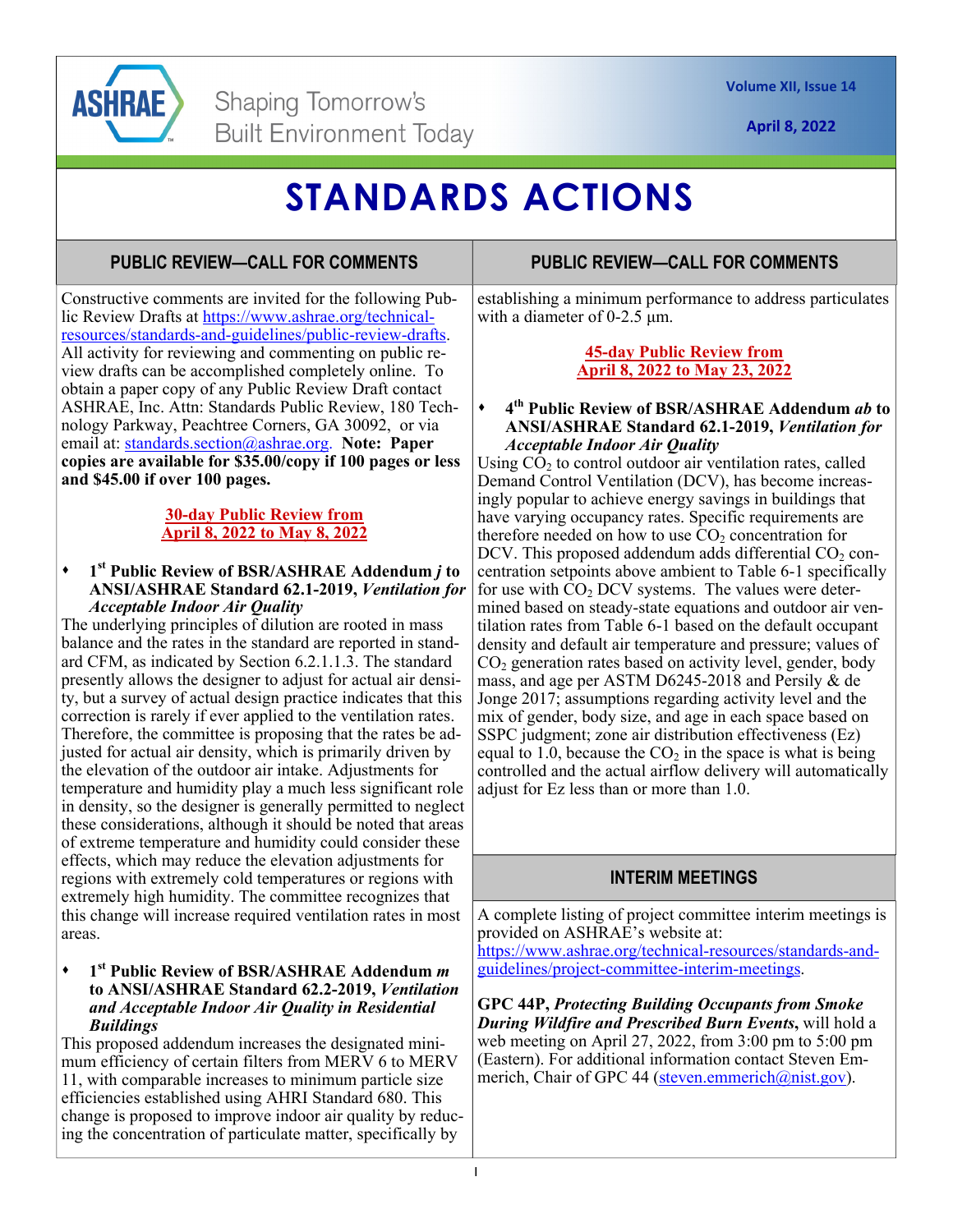

**April 8, 2022** 

# **STANDARDS ACTIONS**

## **PUBLIC REVIEW—CALL FOR COMMENTS**

Constructive comments are invited for the following Public Review Drafts at https://www.ashrae.org/technicalresources/standards-and-guidelines/public-review-drafts. All activity for reviewing and commenting on public review drafts can be accomplished completely online. To obtain a paper copy of any Public Review Draft contact ASHRAE, Inc. Attn: Standards Public Review, 180 Technology Parkway, Peachtree Corners, GA 30092, or via email at: standards.section@ashrae.org. **Note: Paper copies are available for \$35.00/copy if 100 pages or less and \$45.00 if over 100 pages.** 

#### **30-day Public Review from April 8, 2022 to May 8, 2022**

#### **1st Public Review of BSR/ASHRAE Addendum** *j* **to ANSI/ASHRAE Standard 62.1-2019,** *Ventilation for Acceptable Indoor Air Quality*

The underlying principles of dilution are rooted in mass balance and the rates in the standard are reported in standard CFM, as indicated by Section 6.2.1.1.3. The standard presently allows the designer to adjust for actual air density, but a survey of actual design practice indicates that this correction is rarely if ever applied to the ventilation rates. Therefore, the committee is proposing that the rates be adjusted for actual air density, which is primarily driven by the elevation of the outdoor air intake. Adjustments for temperature and humidity play a much less significant role in density, so the designer is generally permitted to neglect these considerations, although it should be noted that areas of extreme temperature and humidity could consider these effects, which may reduce the elevation adjustments for regions with extremely cold temperatures or regions with extremely high humidity. The committee recognizes that this change will increase required ventilation rates in most areas.

#### **1st Public Review of BSR/ASHRAE Addendum** *m*  **to ANSI/ASHRAE Standard 62.2-2019,** *Ventilation and Acceptable Indoor Air Quality in Residential Buildings*

This proposed addendum increases the designated minimum efficiency of certain filters from MERV 6 to MERV 11, with comparable increases to minimum particle size efficiencies established using AHRI Standard 680. This change is proposed to improve indoor air quality by reducing the concentration of particulate matter, specifically by

### **PUBLIC REVIEW—CALL FOR COMMENTS**

establishing a minimum performance to address particulates with a diameter of 0-2.5 μm.

### **45-day Public Review from April 8, 2022 to May 23, 2022**

#### **4th Public Review of BSR/ASHRAE Addendum** *ab* **to ANSI/ASHRAE Standard 62.1-2019,** *Ventilation for Acceptable Indoor Air Quality*

Using  $CO<sub>2</sub>$  to control outdoor air ventilation rates, called Demand Control Ventilation (DCV), has become increasingly popular to achieve energy savings in buildings that have varying occupancy rates. Specific requirements are therefore needed on how to use  $CO<sub>2</sub>$  concentration for DCV. This proposed addendum adds differential  $CO<sub>2</sub>$  concentration setpoints above ambient to Table 6-1 specifically for use with  $CO<sub>2</sub>$  DCV systems. The values were determined based on steady-state equations and outdoor air ventilation rates from Table 6-1 based on the default occupant density and default air temperature and pressure; values of  $CO<sub>2</sub>$  generation rates based on activity level, gender, body mass, and age per ASTM D6245-2018 and Persily & de Jonge 2017; assumptions regarding activity level and the mix of gender, body size, and age in each space based on SSPC judgment; zone air distribution effectiveness (Ez) equal to 1.0, because the  $CO<sub>2</sub>$  in the space is what is being controlled and the actual airflow delivery will automatically adjust for Ez less than or more than 1.0.

## **INTERIM MEETINGS**

A complete listing of project committee interim meetings is provided on ASHRAE's website at: https://www.ashrae.org/technical-resources/standards-and-

guidelines/project-committee-interim-meetings.

**GPC 44P,** *Protecting Building Occupants from Smoke During Wildfire and Prescribed Burn Events***,** will hold a web meeting on April 27, 2022, from 3:00 pm to 5:00 pm (Eastern). For additional information contact Steven Emmerich, Chair of GPC 44 (steven.emmerich@nist.gov).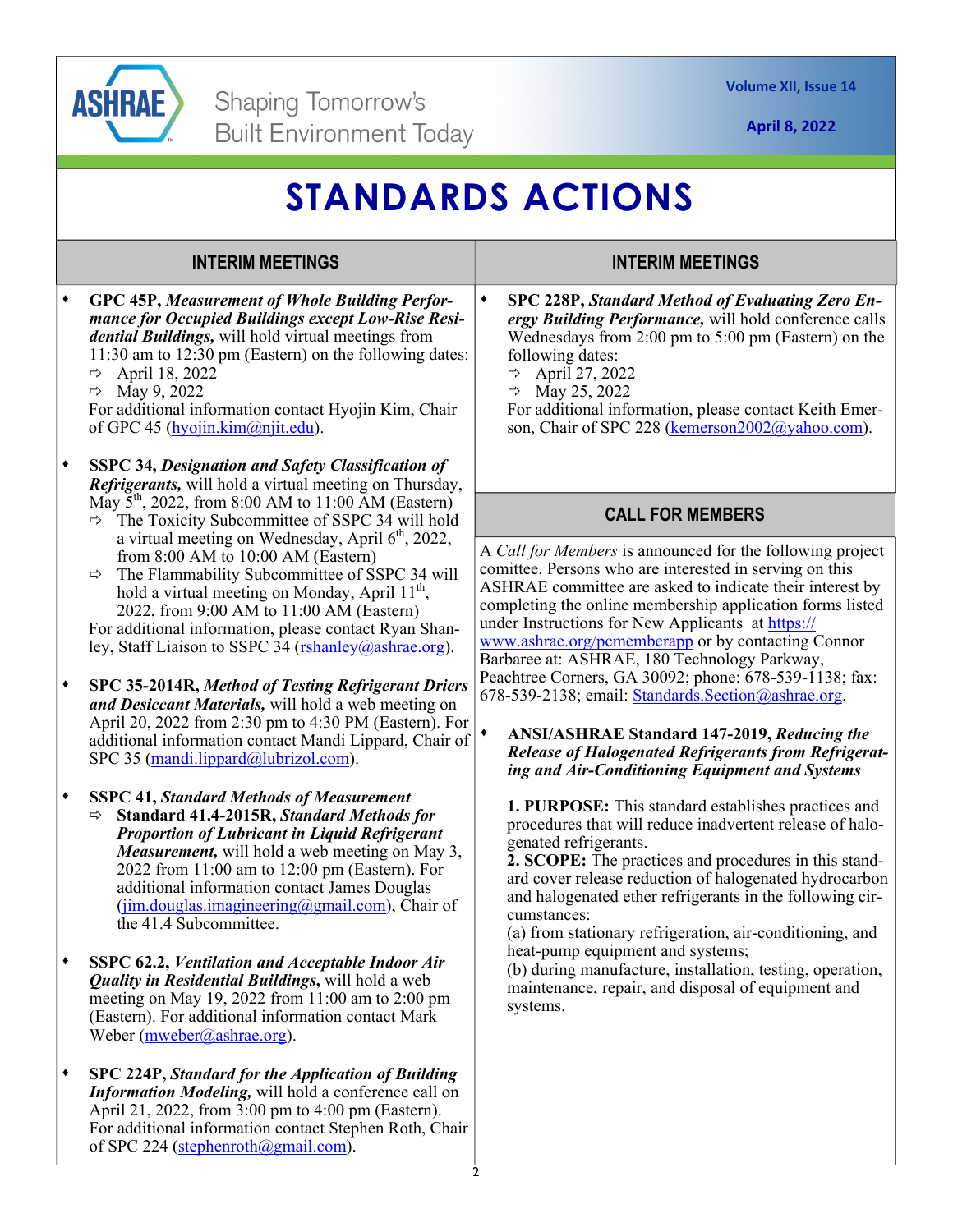

**April 8, 2022** 

## **STANDARDS ACTIONS**

## **INTERIM MEETINGS**

**GPC 45P,** *Measurement of Whole Building Performance for Occupied Buildings except Low-Rise Residential Buildings,* will hold virtual meetings from 11:30 am to 12:30 pm (Eastern) on the following dates:  $\Rightarrow$  April 18, 2022  $\Rightarrow$  May 9, 2022 For additional information contact Hyojin Kim, Chair of GPC 45 (hyojin.kim@njit.edu). **SSPC 34,** *Designation and Safety Classification of Refrigerants,* will hold a virtual meeting on Thursday, May  $5^{th}$ , 2022, from 8:00 AM to 11:00 AM (Eastern)  $\Rightarrow$  The Toxicity Subcommittee of SSPC 34 will hold a virtual meeting on Wednesday, April  $6<sup>th</sup>$ , 2022, from 8:00 AM to 10:00 AM (Eastern)  $\Rightarrow$  The Flammability Subcommittee of SSPC 34 will hold a virtual meeting on Monday, April  $11^{th}$ , 2022, from 9:00 AM to 11:00 AM (Eastern) For additional information, please contact Ryan Shanley, Staff Liaison to SSPC 34 (rshanley@ashrae.org). **SPC 35-2014R,** *Method of Testing Refrigerant Driers and Desiccant Materials,* will hold a web meeting on April 20, 2022 from 2:30 pm to 4:30 PM (Eastern). For additional information contact Mandi Lippard, Chair of SPC 35 (mandi.lippard@lubrizol.com). **SSPC 41,** *Standard Methods of Measurement* **Standard 41.4-2015R,** *Standard Methods for Proportion of Lubricant in Liquid Refrigerant Measurement,* will hold a web meeting on May 3, 2022 from 11:00 am to 12:00 pm (Eastern). For additional information contact James Douglas  $(jim.douglas.imagineering@gmail.com)$ , Chair of the 41.4 Subcommittee. **SSPC 62.2,** *Ventilation and Acceptable Indoor Air Quality in Residential Buildings***,** will hold a web meeting on May 19, 2022 from 11:00 am to 2:00 pm (Eastern). For additional information contact Mark Weber (mweber@ashrae.org). **SPC 224P,** *Standard for the Application of Building Information Modeling,* will hold a conference call on April 21, 2022, from 3:00 pm to 4:00 pm (Eastern). For additional information contact Stephen Roth, Chair of SPC 224 (stephenroth@gmail.com). following dates:  $\Rightarrow$  April 27, 2022  $\Rightarrow$  May 25, 2022 genated refrigerants. cumstances: systems.

### **INTERIM MEETINGS**

**SPC 228P,** *Standard Method of Evaluating Zero Energy Building Performance,* will hold conference calls Wednesdays from 2:00 pm to 5:00 pm (Eastern) on the

For additional information, please contact Keith Emerson, Chair of SPC 228 (kemerson2002@yahoo.com).

## **CALL FOR MEMBERS**

A *Call for Members* is announced for the following project comittee. Persons who are interested in serving on this ASHRAE committee are asked to indicate their interest by completing the online membership application forms listed under Instructions for New Applicants at https:// www.ashrae.org/pcmemberapp or by contacting Connor Barbaree at: ASHRAE, 180 Technology Parkway, Peachtree Corners, GA 30092; phone: 678-539-1138; fax: 678-539-2138; email: Standards.Section@ashrae.org.

#### **ANSI/ASHRAE Standard 147-2019,** *Reducing the Release of Halogenated Refrigerants from Refrigerating and Air-Conditioning Equipment and Systems*

**1. PURPOSE:** This standard establishes practices and procedures that will reduce inadvertent release of halo-

**2. SCOPE:** The practices and procedures in this standard cover release reduction of halogenated hydrocarbon and halogenated ether refrigerants in the following cir-

(a) from stationary refrigeration, air-conditioning, and heat-pump equipment and systems;

(b) during manufacture, installation, testing, operation, maintenance, repair, and disposal of equipment and